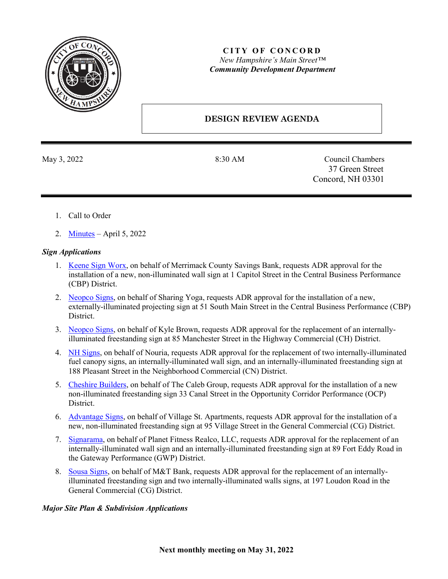

# **CITY OF CONCORD** *New Hampshire's Main Street™ Community Development Department*

# **DESIGN REVIEW AGENDA**

May 3, 2022 8:30 AM Council Chambers 37 Green Street Concord, NH 03301

- 1. Call to Order
- 2. [Minutes](https://www.concordnh.gov/DocumentCenter/View/18688/04052022) April 5, 2022

### *Sign Applications*

- 1. [Keene Sign Worx,](https://www.concordnh.gov/DocumentCenter/View/18676/1-Capital-St---NH-Trust---1-for-ADR) on behalf of Merrimack County Savings Bank, requests ADR approval for the installation of a new, non-illuminated wall sign at 1 Capitol Street in the Central Business Performance (CBP) District.
- 2. [Neopco Signs,](https://www.concordnh.gov/DocumentCenter/View/18678/51-S-Main-St---Sharing-Yoga---1-for-ADR) on behalf of Sharing Yoga, requests ADR approval for the installation of a new, externally-illuminated projecting sign at 51 South Main Street in the Central Business Performance (CBP) District.
- 3. [Neopco Signs,](https://www.concordnh.gov/DocumentCenter/View/18679/85-Manchester-St---KBP---1-for-ADR) on behalf of Kyle Brown, requests ADR approval for the replacement of an internallyilluminated freestanding sign at 85 Manchester Street in the Highway Commercial (CH) District.
- 4. [NH Signs,](https://www.concordnh.gov/DocumentCenter/View/18682/188-Pleasant-St---Nouria---4-for-ADR) on behalf of Nouria, requests ADR approval for the replacement of two internally-illuminated fuel canopy signs, an internally-illuminated wall sign, and an internally-illuminated freestanding sign at 188 Pleasant Street in the Neighborhood Commercial (CN) District.
- 5. [Cheshire Builders,](https://www.concordnh.gov/DocumentCenter/View/18677/33-Canal-St---CALEB---1-for-ADR) on behalf of The Caleb Group, requests ADR approval for the installation of a new non-illuminated freestanding sign 33 Canal Street in the Opportunity Corridor Performance (OCP) District.
- 6. [Advantage Signs,](https://www.concordnh.gov/DocumentCenter/View/18681/95-Village-St-Pena---Catch---1-for-ADR) on behalf of Village St. Apartments, requests ADR approval for the installation of a new, non-illuminated freestanding sign at 95 Village Street in the General Commercial (CG) District.
- 7. [Signarama,](https://www.concordnh.gov/DocumentCenter/View/18680/89-Fort-Eddy-Rd---Shaker-Road-Provisions---2-for-ADR) on behalf of Planet Fitness Realco, LLC, requests ADR approval for the replacement of an internally-illuminated wall sign and an internally-illuminated freestanding sign at 89 Fort Eddy Road in the Gateway Performance (GWP) District.
- 8. [Sousa Signs,](https://www.concordnh.gov/DocumentCenter/View/18683/197-Loudon-Rd---MT-Bank---3-for-ADR) on behalf of M&T Bank, requests ADR approval for the replacement of an internallyilluminated freestanding sign and two internally-illuminated walls signs, at 197 Loudon Road in the General Commercial (CG) District.

# *Major Site Plan & Subdivision Applications*